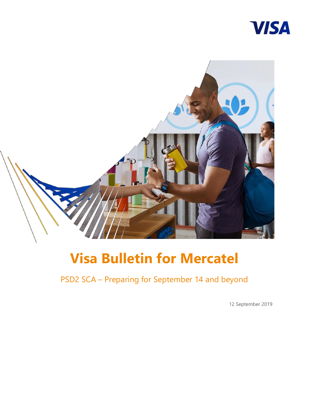



# **Visa Bulletin for Mercatel**

PSD2 SCA – Preparing for September 14 and beyond

12 September 2019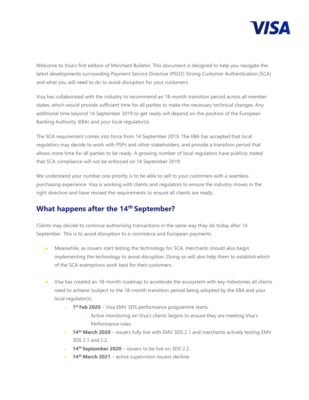

Welcome to Visa's first edition of Merchant Bulletin. This document is designed to help you navigate the latest developments surrounding Payment Service Directive (PSD2) Strong Customer Authentication (SCA) and what you will need to do to avoid disruption for your customers.

Visa has collaborated with the industry to recommend an 18-month transition period across all member states, which would provide sufficient time for all parties to make the necessary technical changes. Any additional time beyond 14 September 2019 to get ready will depend on the position of the European Banking Authority (EBA) and your local regulator(s).

The SCA requirement comes into force from 14 September 2019. The EBA has accepted that local regulators may decide to work with PSPs and other stakeholders, and provide a transition period that allows more time for all parties to be ready. A growing number of local regulators have publicly stated that SCA compliance will not be enforced on 14 September 2019.

We understand your number one priority is to be able to sell to your customers with a seamless purchasing experience. Visa is working with clients and regulators to ensure the industry moves in the right direction and have revised the requirements to ensure all clients are ready.

### **What happens after the 14th September?**

Clients may decide to continue authorising transactions in the same way they do today after 14 September. This is to avoid disruption to e-commerce and European payments.

- Meanwhile, as issuers start testing the technology for SCA, merchants should also begin implementing the technology to avoid disruption. Doing so will also help them to establishwhich of the SCA exemptions work best for their customers.
- Visa has created an 18-month roadmap to accelerate the ecosystem with key milestones all clients need to achieve (subject to the 18-month transition period being adopted by the EBA and your local regulator(s).
	- o **1 st Feb 2020**  Visa EMV 3DS performance programme starts.
		- Active monitoring on Visa's clients begins to ensure they are meeting Visa's Performance rules.
	- o **14th March 2020**  issuers fully live with EMV 3DS 2.1 and merchants actively testing EMV 3DS 2.1 and 2.2.
	- o **14th September 2020**  issuers to be live on 3DS 2.2.
	- o **14th March 2021**  active supervision issuers decline.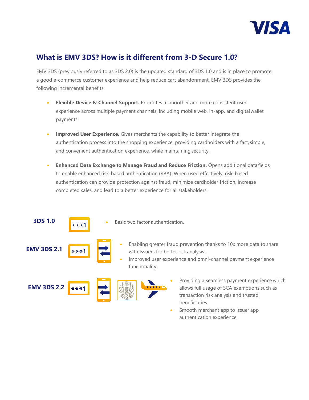

### **What is EMV 3DS? How is it different from 3-D Secure 1.0?**

EMV 3DS (previously referred to as 3DS 2.0) is the updated standard of 3DS 1.0 and is in place to promote a good e-commerce customer experience and help reduce cart abandonment. EMV 3DS provides the following incremental benefits:

- **Flexible Device & Channel Support.** Promotes a smoother and more consistent userexperience across multiple payment channels, including mobile web, in-app, and digitalwallet payments.
- **Improved User Experience.** Gives merchants the capability to better integrate the authentication process into the shopping experience, providing cardholders with a fast, simple, and convenient authentication experience, while maintaining security.
- **Enhanced Data Exchange to Manage Fraud and Reduce Friction.** Opens additional datafields to enable enhanced risk-based authentication (RBA). When used effectively, risk-based authentication can provide protection against fraud, minimize cardholder friction, increase completed sales, and lead to a better experience for all stakeholders.



 Smooth merchant app to issuer app authentication experience.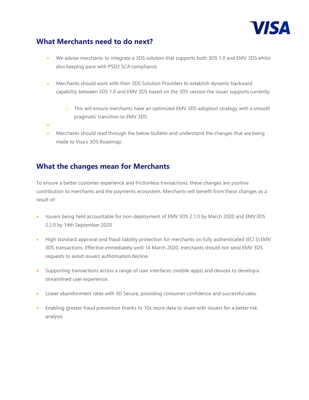

### **What Merchants need to do next?**

- We advise merchants to integrate a 3DS solution that supports both 3DS 1.0 and EMV 3DS whilst also keeping pace with PSD2 SCA compliance.
- Merchants should work with their 3DS Solution Providers to establish dynamic backward capability between 3DS 1.0 and EMV 3DS based on the 3DS version the issuer supports currently.
	- o This will ensure merchants have an optimized EMV 3DS adoption strategy with a smooth pragmatic transition to EMV 3DS.
- $\bullet$
- Merchants should read through the below bulletin and understand the changes that are being made to Visa's 3DS Roadmap.

### **What the changes mean for Merchants**

To ensure a better customer experience and frictionless transactions, these changes are positive contribution to merchants and the payments ecosystem. Merchants will benefit from these changes as a result of:

- Issuers being held accountable for non-deployment of EMV 3DS 2.1.0 by March 2020 and EMV3DS 2.2.0 by 14th September 2020.
- High standard approval and fraud liability protection for merchants on fully authenticated (ECI 5) EMV 3DS transactions. Effective immediately until 14 March 2020, merchants should not send EMV 3DS requests to avoid issuers authorisation decline.
- Supporting transactions across a range of user interfaces (mobile apps) and devices to developa streamlined user experience.
- Lower abandonment rates with 3D Secure, providing consumer confidence and successful sales.
- Enabling greater fraud prevention thanks to 10x more data to share with Issuers for a betterrisk analysis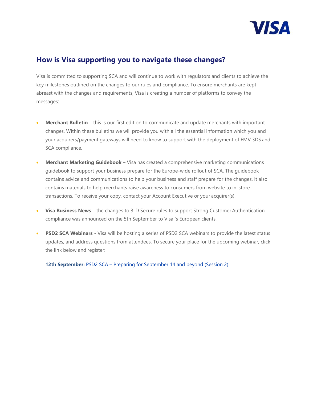

### **How is Visa supporting you to navigate these changes?**

Visa is committed to supporting SCA and will continue to work with regulators and clients to achieve the key milestones outlined on the changes to our rules and compliance. To ensure merchants are kept abreast with the changes and requirements, Visa is creating a number of platforms to convey the messages:

- **Merchant Bulletin**  this is our first edition to communicate and update merchants with important changes. Within these bulletins we will provide you with all the essential information which you and your acquirers/payment gateways will need to know to support with the deployment of EMV 3DS and SCA compliance.
- **Merchant Marketing Guidebook**  Visa has created a comprehensive marketing communications guidebook to support your business prepare for the Europe-wide rollout of SCA. The guidebook contains advice and communications to help your business and staff prepare for the changes. It also contains materials to help merchants raise awareness to consumers from website to in-store transactions. To receive your copy, contact your Account Executive or your acquirer(s).
- **Visa Business News**  the changes to 3-D Secure rules to support Strong Customer Authentication compliance was announced on the 5th September to Visa 's European clients.
- **PSD2 SCA Webinars**  Visa will be hosting a series of PSD2 SCA webinars to provide the latest status updates, and address questions from attendees. To secure your place for the upcoming webinar, click the link below and register:

**12th September:** PSD2 SCA – [Preparing for September 14 and beyond \(Session 2\)](https://wcc.on24.com/webcast/report?e=2074540&k=E75DC14B79E6153489B5DB613004BB9D)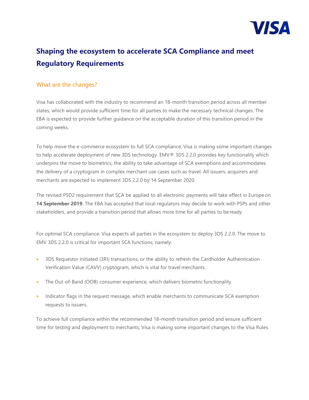

## **Shaping the ecosystem to accelerate SCA Compliance and meet Regulatory Requirements**

#### What are the changes?

Visa has collaborated with the industry to recommend an 18-month transition period across all member states, which would provide sufficient time for all parties to make the necessary technical changes. The EBA is expected to provide further guidance on the acceptable duration of this transition period in the coming weeks.

To help move the e-commerce ecosystem to full SCA compliance, Visa is making some important changes to help accelerate deployment of new 3DS technology. EMV® 3DS 2.2.0 provides key functionality which underpins the move to biometrics, the ability to take advantage of SCA exemptions and accommodates the delivery of a cryptogram in complex merchant use cases such as travel. All issuers, acquirers and merchants are expected to implement 3DS 2.2.0 by 14 September 2020.

The revised PSD2 requirement that SCA be applied to all electronic payments will take effect in Europe on **14 September 2019**. The EBA has accepted that local regulators may decide to work with PSPs and other stakeholders, and provide a transition period that allows more time for all parties to be ready

For optimal SCA compliance, Visa expects all parties in the ecosystem to deploy 3DS 2.2.0. The move to EMV 3DS 2.2.0 is critical for important SCA functions, namely:

- 3DS Requestor Initiated (3RI) transactions, or the ability to refresh the Cardholder Authentication Verification Value (CAVV) cryptogram, which is vital for travel merchants.
- The Out-of-Band (OOB) consumer experience, which delivers biometric functionality.
- Indicator flags in the request message, which enable merchants to communicate SCA exemption requests to issuers.

To achieve full compliance within the recommended 18-month transition period and ensure sufficient time for testing and deployment to merchants, Visa is making some important changes to the Visa Rules.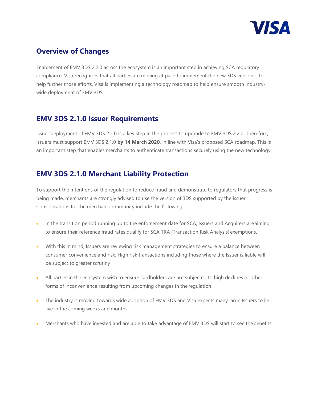

### **Overview of Changes**

Enablement of EMV 3DS 2.2.0 across the ecosystem is an important step in achieving SCA regulatory compliance. Visa recognizes that all parties are moving at pace to implement the new 3DS versions. To help further those efforts, Visa is implementing a technology roadmap to help ensure smooth industrywide deployment of EMV 3DS.

### **EMV 3DS 2.1.0 Issuer Requirements**

Issuer deployment of EMV 3DS 2.1.0 is a key step in the process to upgrade to EMV 3DS 2.2.0. Therefore, issuers must support EMV 3DS 2.1.0 **by 14 March 2020**, in line with Visa's proposed SCA roadmap. This is an important step that enables merchants to authenticate transactions securely using the new technology.

### **EMV 3DS 2.1.0 Merchant Liability Protection**

To support the intentions of the regulation to reduce fraud and demonstrate to regulators that progress is being made, merchants are strongly advised to use the version of 3DS supported by the issuer. Considerations for the merchant community include the following:-

- In the transition period running up to the enforcement date for SCA, Issuers and Acquirers areaiming to ensure their reference fraud rates qualify for SCA TRA (Transaction Risk Analysis) exemptions.
- With this in mind, Issuers are reviewing risk management strategies to ensure a balance between consumer convenience and risk. High risk transactions including those where the Issuer is liable will be subject to greater scrutiny
- All parties in the ecosystem wish to ensure cardholders are not subjected to high declines or other forms of inconvenience resulting from upcoming changes in the regulation
- The industry is moving towards wide adoption of EMV 3DS and Visa expects many large Issuers to be live in the coming weeks and months
- Merchants who have invested and are able to take advantage of EMV 3DS will start to see thebenefits